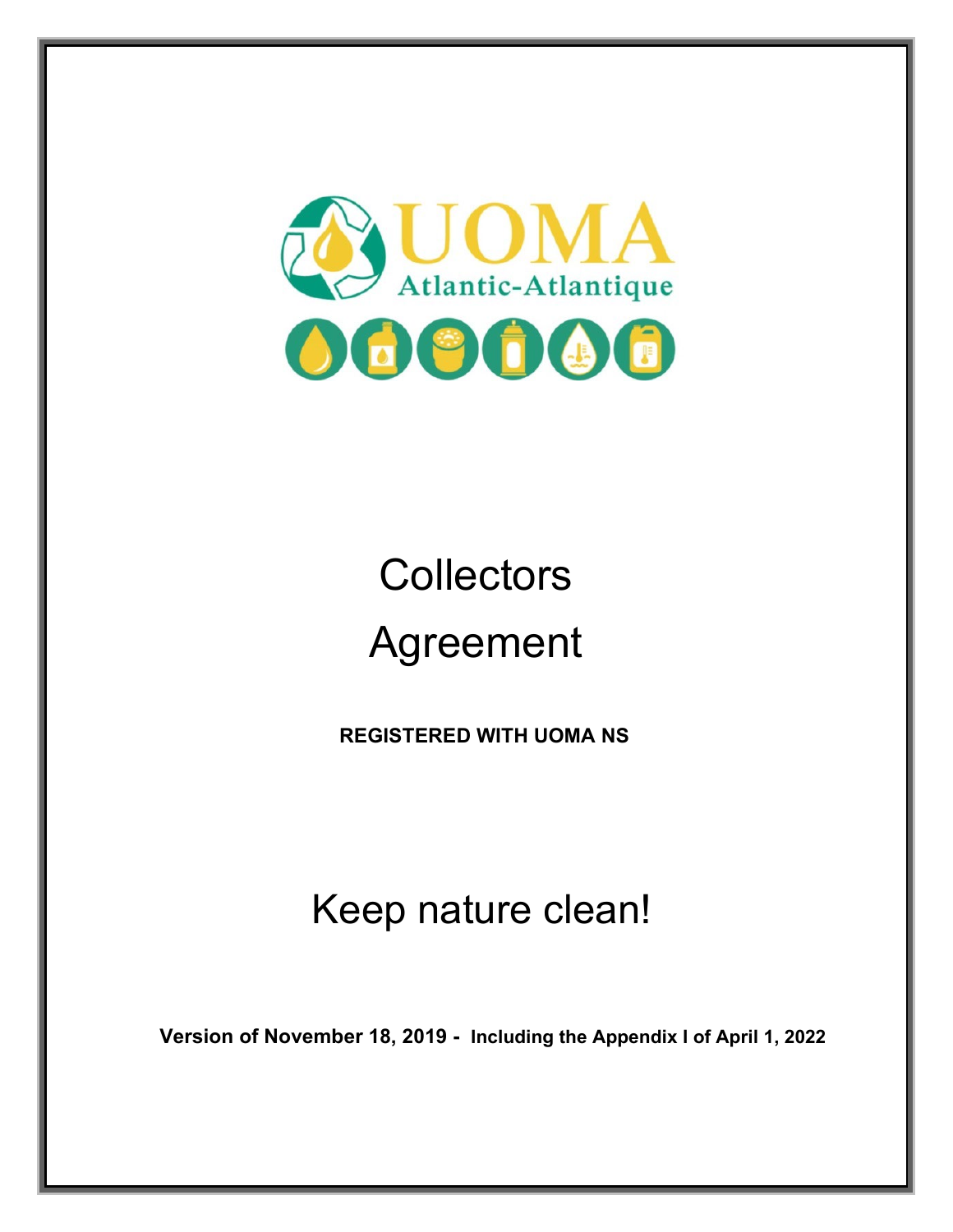

# **Collectors** Agreement

 **REGISTERED WITH UOMA NS**

## Keep nature clean!

**Version of November 18, 2019 - Including the Appendix I of April 1, 2022**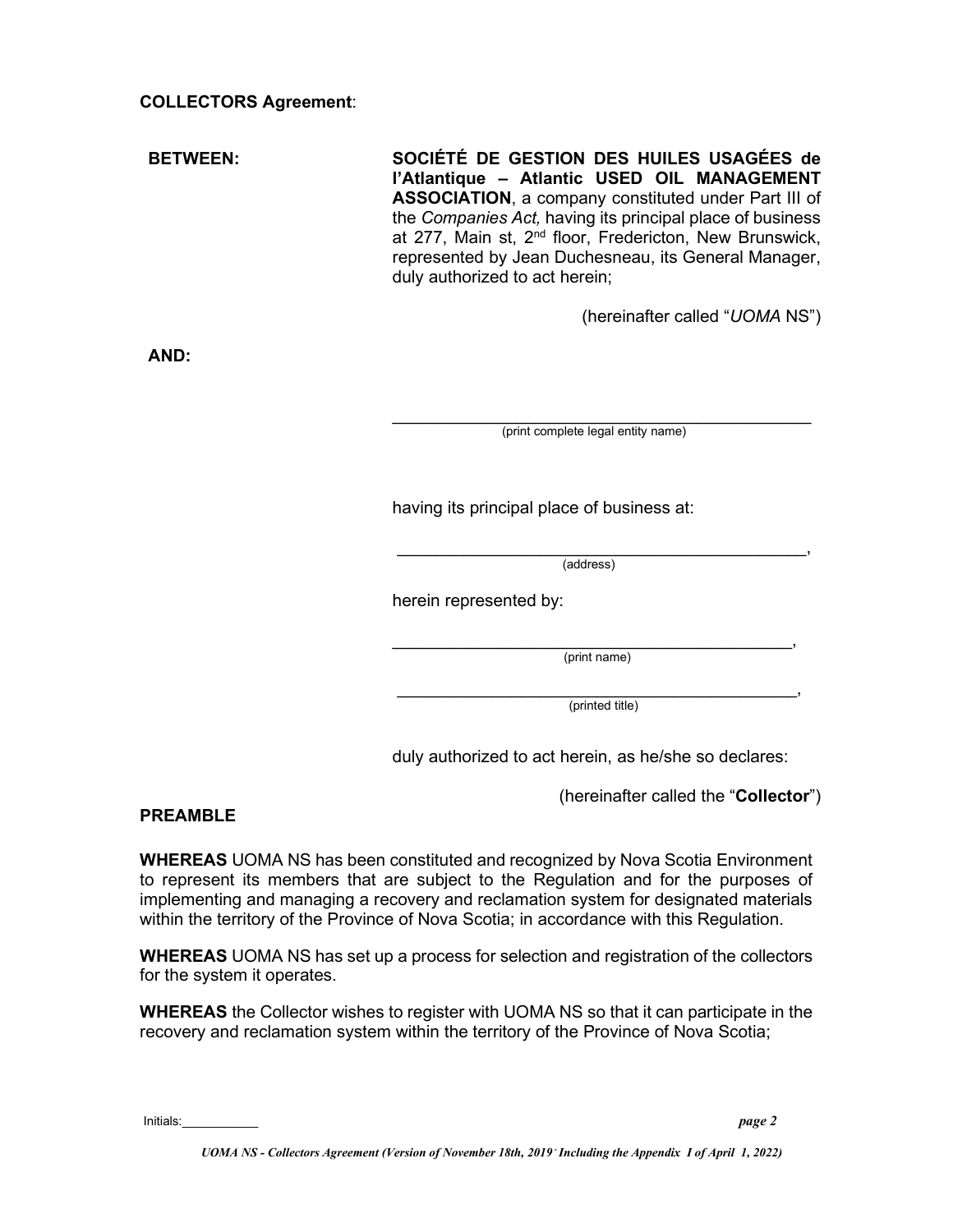**BETWEEN: SOCIÉTÉ DE GESTION DES HUILES USAGÉES de l'Atlantique – Atlantic USED OIL MANAGEMENT ASSOCIATION**, a company constituted under Part III of the *Companies Act,* having its principal place of business at 277, Main st, 2<sup>nd</sup> floor, Fredericton, New Brunswick, represented by Jean Duchesneau, its General Manager, duly authorized to act herein;

(hereinafter called "*UOMA* NS")

**AND:**

\_\_\_\_\_\_\_\_\_\_\_\_\_\_\_\_\_\_\_\_\_\_\_\_\_\_\_\_\_\_\_\_\_\_\_\_\_\_\_\_\_\_\_\_ (print complete legal entity name)

having its principal place of business at:

\_\_\_\_\_\_\_\_\_\_\_\_\_\_\_\_\_\_\_\_\_\_\_\_\_\_\_\_\_\_\_\_\_\_\_\_\_\_\_\_\_\_\_, (address)

herein represented by:

\_\_\_\_\_\_\_\_\_\_\_\_\_\_\_\_\_\_\_\_\_\_\_\_\_\_\_\_\_\_\_\_\_\_\_\_\_\_\_\_\_\_, (print name)

\_\_\_\_\_\_\_\_\_\_\_\_\_\_\_\_\_\_\_\_\_\_\_\_\_\_\_\_\_\_\_\_\_\_\_\_\_\_\_\_\_\_, (printed title)

duly authorized to act herein, as he/she so declares:

(hereinafter called the "**Collector**")

#### **PREAMBLE**

**WHEREAS** UOMA NS has been constituted and recognized by Nova Scotia Environment to represent its members that are subject to the Regulation and for the purposes of implementing and managing a recovery and reclamation system for designated materials within the territory of the Province of Nova Scotia; in accordance with this Regulation.

**WHEREAS** UOMA NS has set up a process for selection and registration of the collectors for the system it operates.

**WHEREAS** the Collector wishes to register with UOMA NS so that it can participate in the recovery and reclamation system within the territory of the Province of Nova Scotia;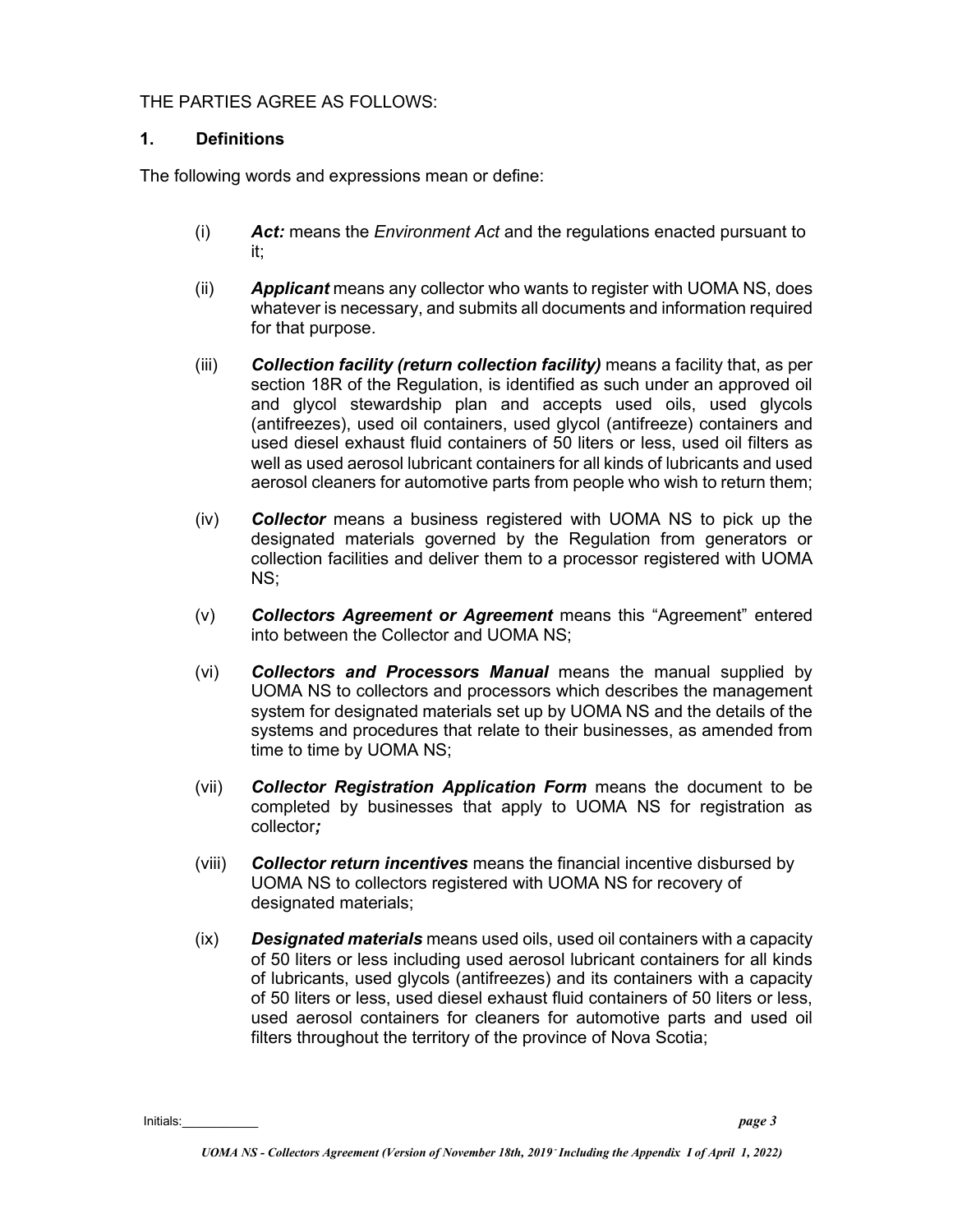#### THE PARTIES AGREE AS FOLLOWS:

#### **1. Definitions**

The following words and expressions mean or define:

- (i) *Act:* means the *Environment Act* and the regulations enacted pursuant to it;
- (ii) *Applicant* means any collector who wants to register with UOMA NS, does whatever is necessary, and submits all documents and information required for that purpose.
- (iii) *Collection facility (return collection facility)* means a facility that, as per section 18R of the Regulation, is identified as such under an approved oil and glycol stewardship plan and accepts used oils, used glycols (antifreezes), used oil containers, used glycol (antifreeze) containers and used diesel exhaust fluid containers of 50 liters or less, used oil filters as well as used aerosol lubricant containers for all kinds of lubricants and used aerosol cleaners for automotive parts from people who wish to return them;
- (iv) *Collector* means a business registered with UOMA NS to pick up the designated materials governed by the Regulation from generators or collection facilities and deliver them to a processor registered with UOMA NS;
- (v) *Collectors Agreement or Agreement* means this "Agreement" entered into between the Collector and UOMA NS;
- (vi) *Collectors and Processors Manual* means the manual supplied by UOMA NS to collectors and processors which describes the management system for designated materials set up by UOMA NS and the details of the systems and procedures that relate to their businesses, as amended from time to time by UOMA NS;
- (vii) *Collector Registration Application Form* means the document to be completed by businesses that apply to UOMA NS for registration as collector*;*
- (viii) *Collector return incentives* means the financial incentive disbursed by UOMA NS to collectors registered with UOMA NS for recovery of designated materials;
- (ix) *Designated materials* means used oils, used oil containers with a capacity of 50 liters or less including used aerosol lubricant containers for all kinds of lubricants, used glycols (antifreezes) and its containers with a capacity of 50 liters or less, used diesel exhaust fluid containers of 50 liters or less, used aerosol containers for cleaners for automotive parts and used oil filters throughout the territory of the province of Nova Scotia;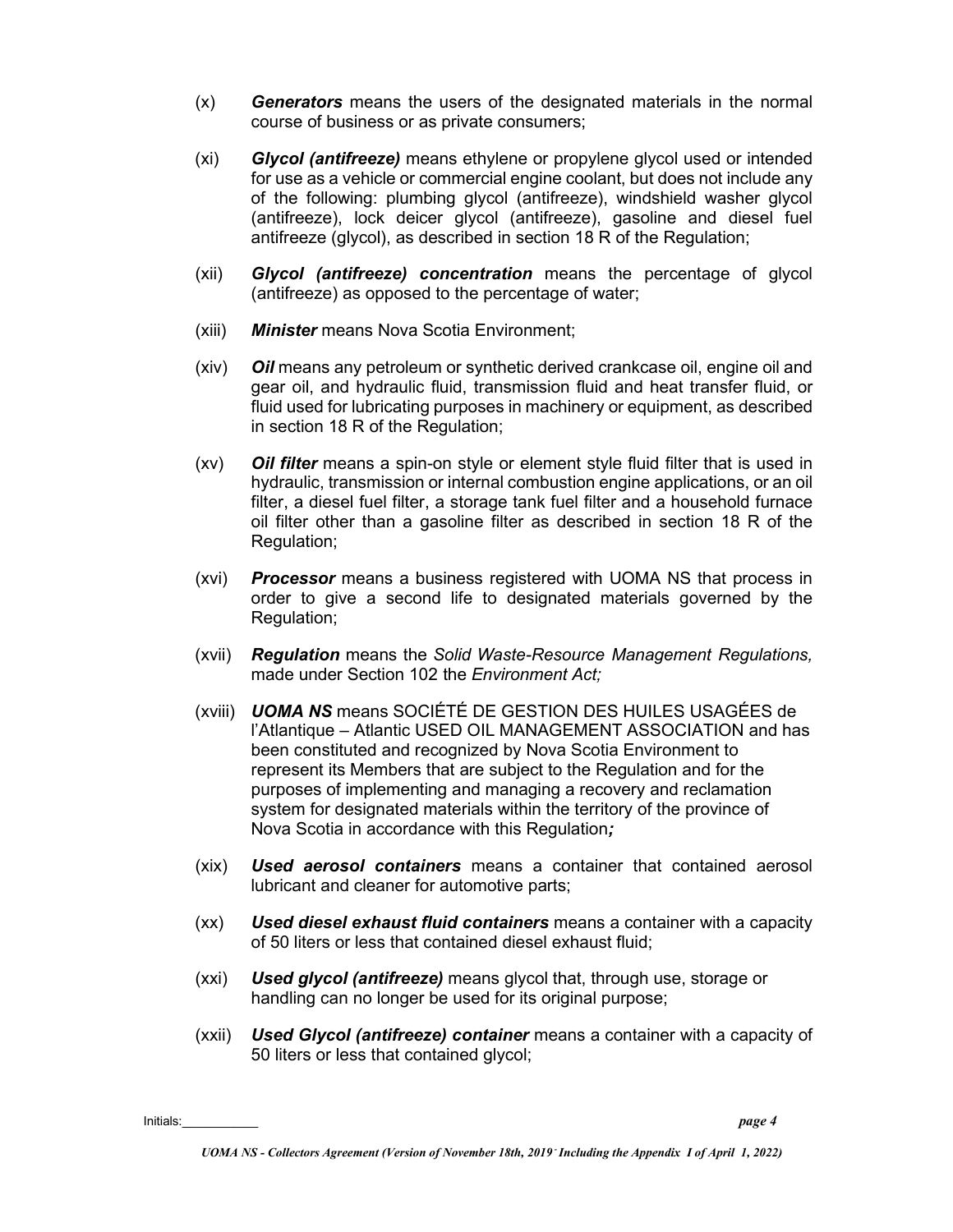- (x) *Generators* means the users of the designated materials in the normal course of business or as private consumers;
- (xi) *Glycol (antifreeze)* means ethylene or propylene glycol used or intended for use as a vehicle or commercial engine coolant, but does not include any of the following: plumbing glycol (antifreeze), windshield washer glycol (antifreeze), lock deicer glycol (antifreeze), gasoline and diesel fuel antifreeze (glycol), as described in section 18 R of the Regulation;
- (xii) *Glycol (antifreeze) concentration* means the percentage of glycol (antifreeze) as opposed to the percentage of water;
- (xiii) *Minister* means Nova Scotia Environment;
- (xiv) *Oil* means any petroleum or synthetic derived crankcase oil, engine oil and gear oil, and hydraulic fluid, transmission fluid and heat transfer fluid, or fluid used for lubricating purposes in machinery or equipment, as described in section 18 R of the Regulation;
- (xv) *Oil filter* means a spin-on style or element style fluid filter that is used in hydraulic, transmission or internal combustion engine applications, or an oil filter, a diesel fuel filter, a storage tank fuel filter and a household furnace oil filter other than a gasoline filter as described in section 18 R of the Regulation;
- (xvi) *Processor* means a business registered with UOMA NS that process in order to give a second life to designated materials governed by the Regulation;
- (xvii) *Regulation* means the *Solid Waste-Resource Management Regulations,* made under Section 102 the *Environment Act;*
- (xviii) *UOMA NS* means SOCIÉTÉ DE GESTION DES HUILES USAGÉES de l'Atlantique – Atlantic USED OIL MANAGEMENT ASSOCIATION and has been constituted and recognized by Nova Scotia Environment to represent its Members that are subject to the Regulation and for the purposes of implementing and managing a recovery and reclamation system for designated materials within the territory of the province of Nova Scotia in accordance with this Regulation*;*
- (xix) *Used aerosol containers* means a container that contained aerosol lubricant and cleaner for automotive parts;
- (xx) *Used diesel exhaust fluid containers* means a container with a capacity of 50 liters or less that contained diesel exhaust fluid;
- (xxi) *Used glycol (antifreeze)* means glycol that, through use, storage or handling can no longer be used for its original purpose;
- (xxii) *Used Glycol (antifreeze) container* means a container with a capacity of 50 liters or less that contained glycol;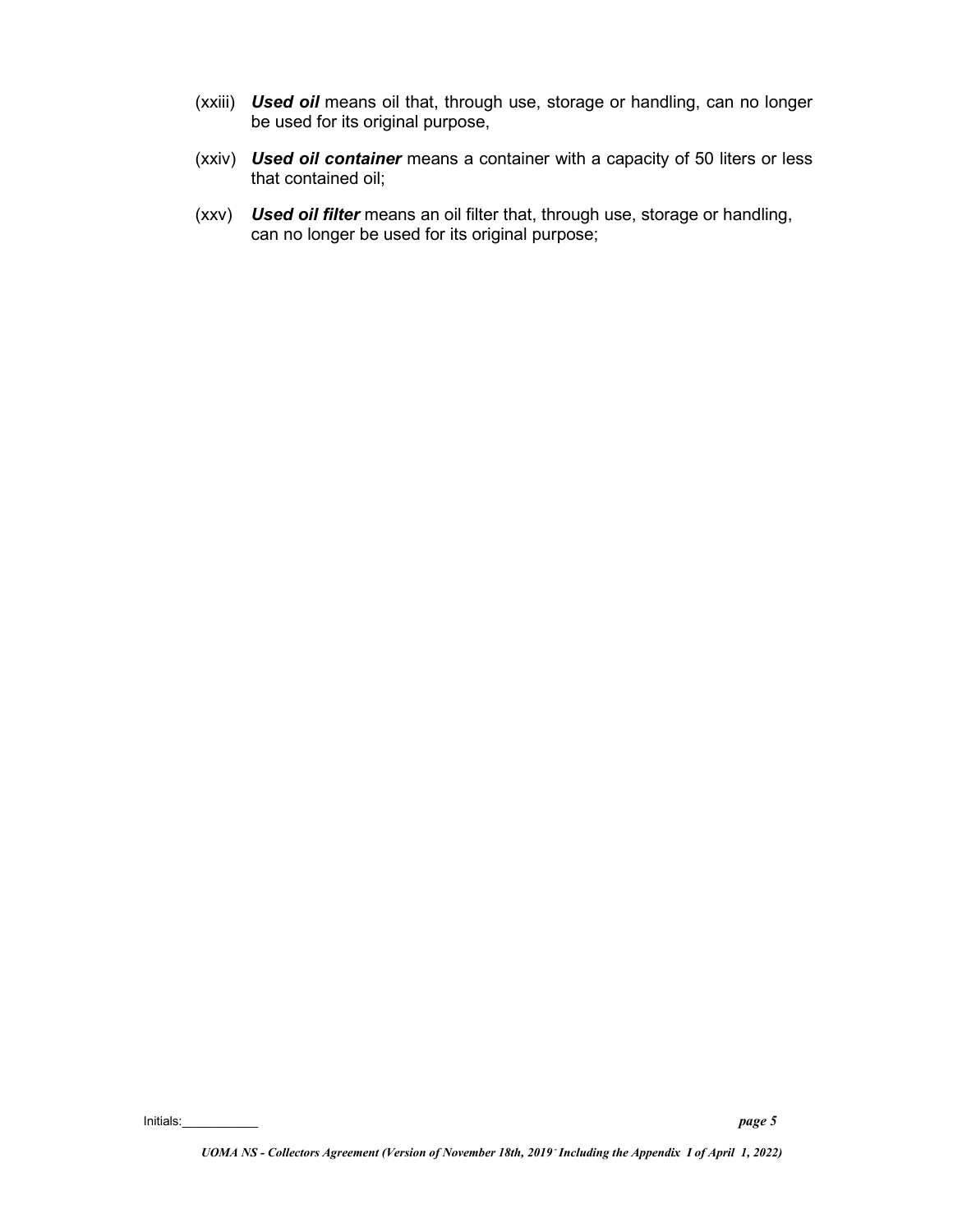- (xxiii) *Used oil* means oil that, through use, storage or handling, can no longer be used for its original purpose,
- (xxiv) *Used oil container* means a container with a capacity of 50 liters or less that contained oil;
- (xxv) *Used oil filter* means an oil filter that, through use, storage or handling, can no longer be used for its original purpose;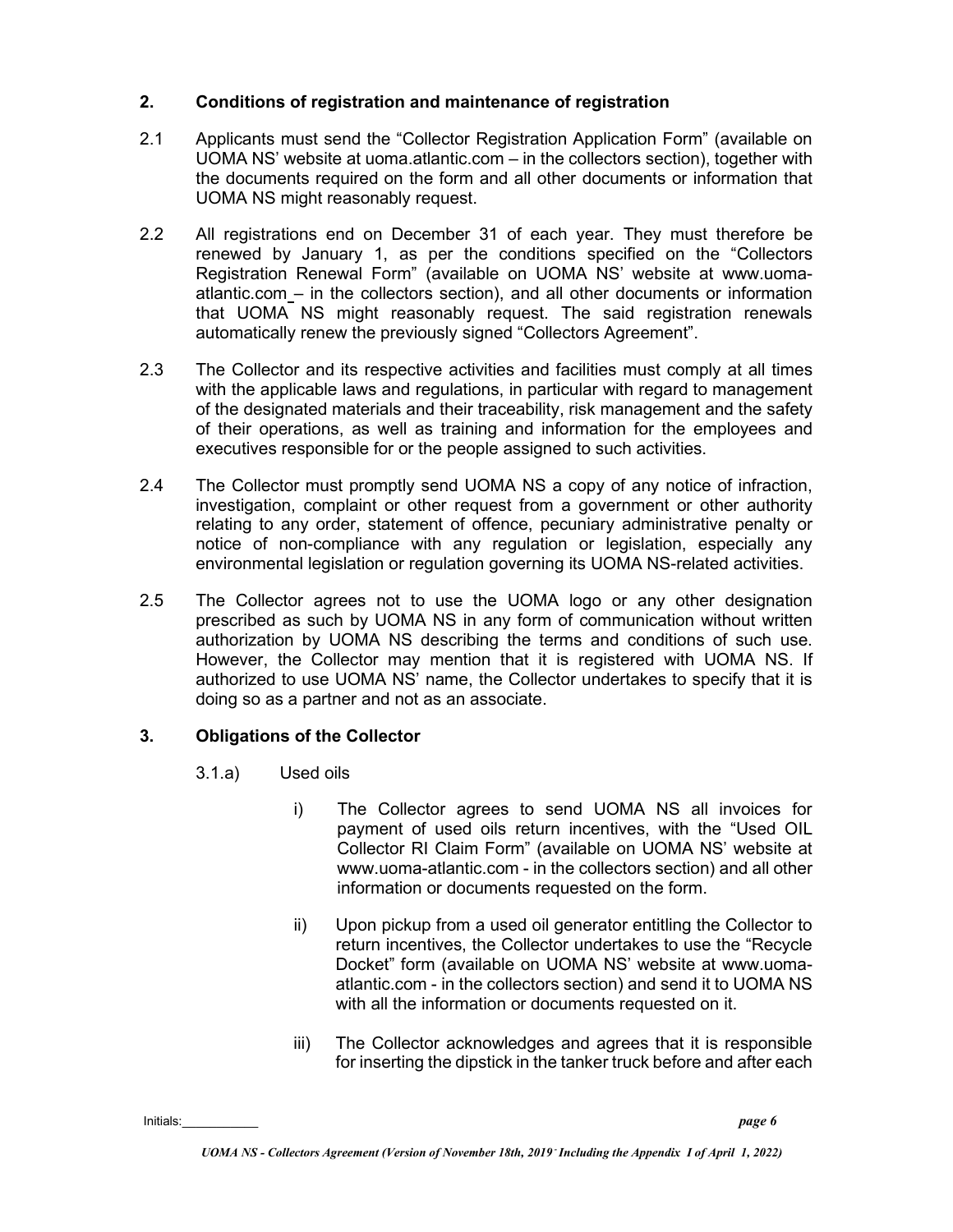#### **2. Conditions of registration and maintenance of registration**

- 2.1 Applicants must send the "Collector Registration Application Form" (available on UOMA NS' website at uoma.atlantic.com – in the collectors section), together with the documents required on the form and all other documents or information that UOMA NS might reasonably request.
- 2.2 All registrations end on December 31 of each year. They must therefore be renewed by January 1, as per the conditions specified on the "Collectors Registration Renewal Form" (available on UOMA NS' website at www.uomaatlantic.com – in the collectors section), and all other documents or information that UOMA NS might reasonably request. The said registration renewals automatically renew the previously signed "Collectors Agreement".
- 2.3 The Collector and its respective activities and facilities must comply at all times with the applicable laws and regulations, in particular with regard to management of the designated materials and their traceability, risk management and the safety of their operations, as well as training and information for the employees and executives responsible for or the people assigned to such activities.
- 2.4 The Collector must promptly send UOMA NS a copy of any notice of infraction, investigation, complaint or other request from a government or other authority relating to any order, statement of offence, pecuniary administrative penalty or notice of non-compliance with any regulation or legislation, especially any environmental legislation or regulation governing its UOMA NS-related activities.
- 2.5 The Collector agrees not to use the UOMA logo or any other designation prescribed as such by UOMA NS in any form of communication without written authorization by UOMA NS describing the terms and conditions of such use. However, the Collector may mention that it is registered with UOMA NS. If authorized to use UOMA NS' name, the Collector undertakes to specify that it is doing so as a partner and not as an associate.

#### **3. Obligations of the Collector**

- 3.1.a) Used oils
	- i) The Collector agrees to send UOMA NS all invoices for payment of used oils return incentives, with the "Used OIL Collector RI Claim Form" (available on UOMA NS' website at www.uoma-atlantic.com - in the collectors section) and all other information or documents requested on the form.
	- ii) Upon pickup from a used oil generator entitling the Collector to return incentives, the Collector undertakes to use the "Recycle Docket" form (available on UOMA NS' website at www.uomaatlantic.com - in the collectors section) and send it to UOMA NS with all the information or documents requested on it.
	- iii) The Collector acknowledges and agrees that it is responsible for inserting the dipstick in the tanker truck before and after each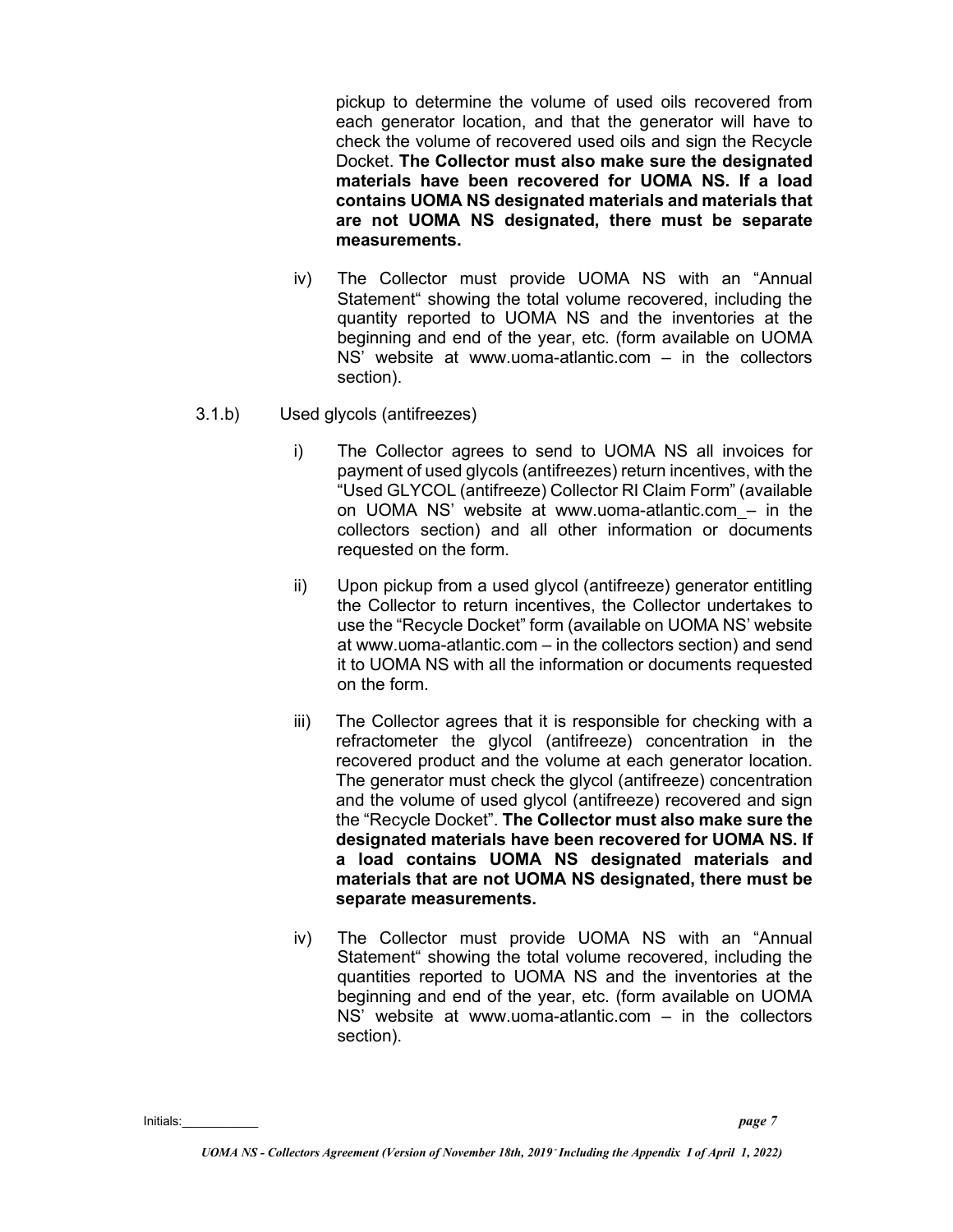pickup to determine the volume of used oils recovered from each generator location, and that the generator will have to check the volume of recovered used oils and sign the Recycle Docket. **The Collector must also make sure the designated materials have been recovered for UOMA NS. If a load contains UOMA NS designated materials and materials that are not UOMA NS designated, there must be separate measurements.**

- iv) The Collector must provide UOMA NS with an "Annual Statement" showing the total volume recovered, including the quantity reported to UOMA NS and the inventories at the beginning and end of the year, etc. (form available on UOMA NS' website at www.uoma-atlantic.com – in the collectors section).
- 3.1.b) Used glycols (antifreezes)
	- i) The Collector agrees to send to UOMA NS all invoices for payment of used glycols (antifreezes) return incentives, with the "Used GLYCOL (antifreeze) Collector RI Claim Form" (available on UOMA NS' website at www.uoma-atlantic.com – in the collectors section) and all other information or documents requested on the form.
	- ii) Upon pickup from a used glycol (antifreeze) generator entitling the Collector to return incentives, the Collector undertakes to use the "Recycle Docket" form (available on UOMA NS' website at www.uoma-atlantic.com – in the collectors section) and send it to UOMA NS with all the information or documents requested on the form.
	- iii) The Collector agrees that it is responsible for checking with a refractometer the glycol (antifreeze) concentration in the recovered product and the volume at each generator location. The generator must check the glycol (antifreeze) concentration and the volume of used glycol (antifreeze) recovered and sign the "Recycle Docket". **The Collector must also make sure the designated materials have been recovered for UOMA NS. If a load contains UOMA NS designated materials and materials that are not UOMA NS designated, there must be separate measurements.**
	- iv) The Collector must provide UOMA NS with an "Annual Statement" showing the total volume recovered, including the quantities reported to UOMA NS and the inventories at the beginning and end of the year, etc. (form available on UOMA NS' website at www.uoma-atlantic.com – in the collectors section).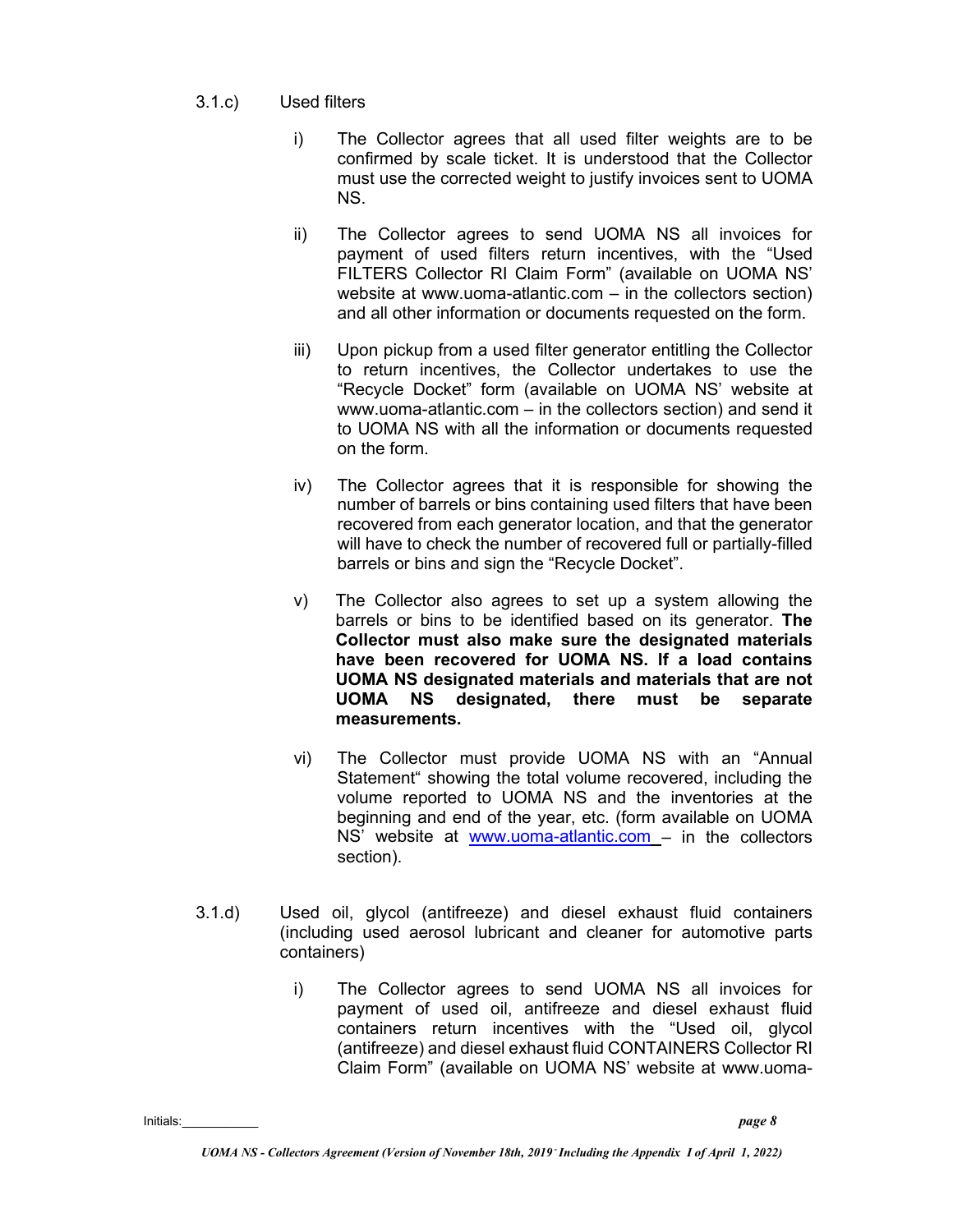#### 3.1.c) Used filters

- i) The Collector agrees that all used filter weights are to be confirmed by scale ticket. It is understood that the Collector must use the corrected weight to justify invoices sent to UOMA NS.
- ii) The Collector agrees to send UOMA NS all invoices for payment of used filters return incentives, with the "Used FILTERS Collector RI Claim Form" (available on UOMA NS' website at www.uoma-atlantic.com – in the collectors section) and all other information or documents requested on the form.
- iii) Upon pickup from a used filter generator entitling the Collector to return incentives, the Collector undertakes to use the "Recycle Docket" form (available on UOMA NS' website at www.uoma-atlantic.com – in the collectors section) and send it to UOMA NS with all the information or documents requested on the form.
- iv) The Collector agrees that it is responsible for showing the number of barrels or bins containing used filters that have been recovered from each generator location, and that the generator will have to check the number of recovered full or partially-filled barrels or bins and sign the "Recycle Docket".
- v) The Collector also agrees to set up a system allowing the barrels or bins to be identified based on its generator. **The Collector must also make sure the designated materials have been recovered for UOMA NS. If a load contains UOMA NS designated materials and materials that are not UOMA NS designated, there must be separate measurements.**
- vi) The Collector must provide UOMA NS with an "Annual Statement" showing the total volume recovered, including the volume reported to UOMA NS and the inventories at the beginning and end of the year, etc. (form available on UOMA NS' website at [www.uoma-atlantic.com](http://www.uoma-atlantic.com/) – in the collectors section).
- 3.1.d) Used oil, glycol (antifreeze) and diesel exhaust fluid containers (including used aerosol lubricant and cleaner for automotive parts containers)
	- i) The Collector agrees to send UOMA NS all invoices for payment of used oil, antifreeze and diesel exhaust fluid containers return incentives with the "Used oil, glycol (antifreeze) and diesel exhaust fluid CONTAINERS Collector RI Claim Form" (available on UOMA NS' website at www.uoma-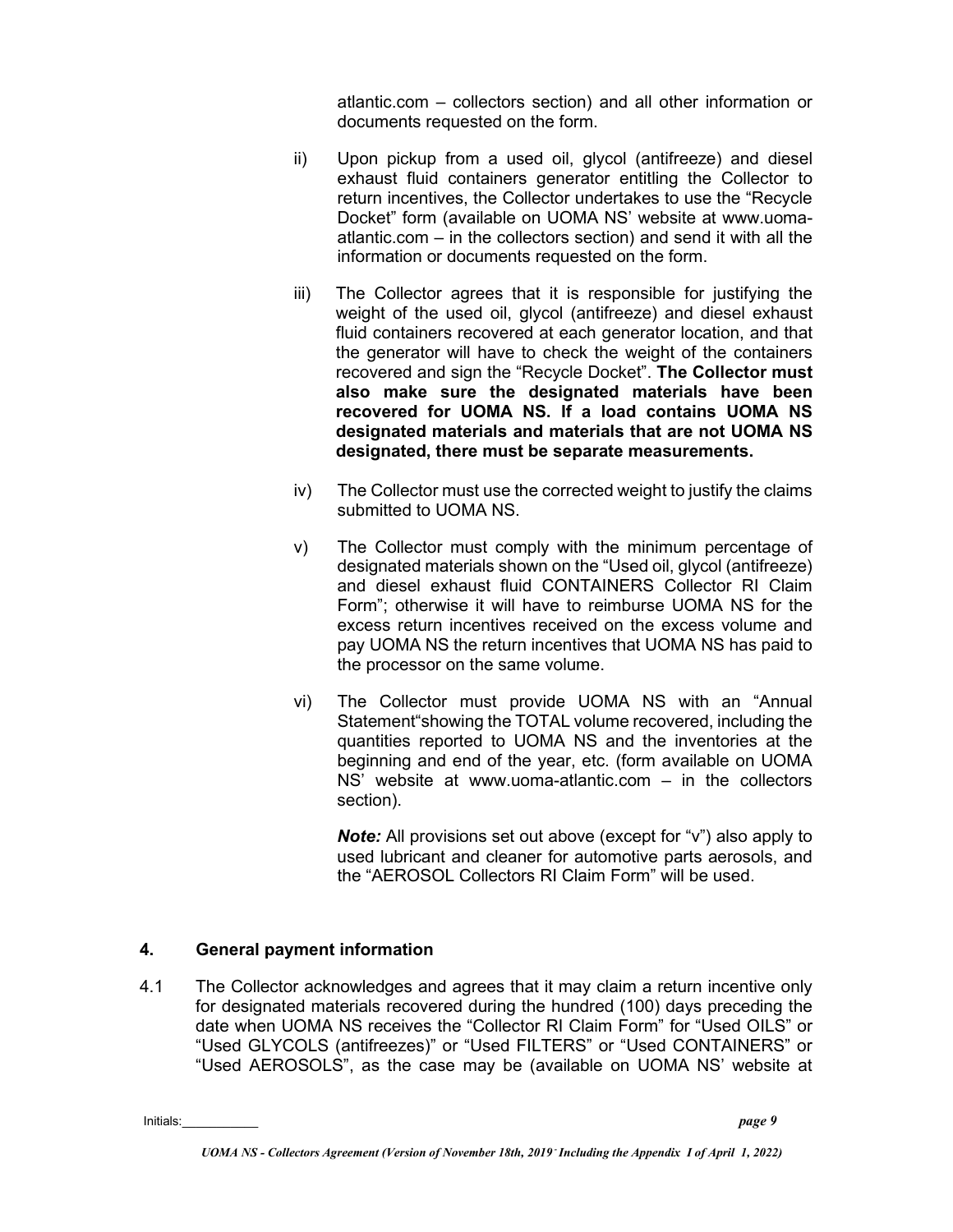atlantic.com – collectors section) and all other information or documents requested on the form.

- ii) Upon pickup from a used oil, glycol (antifreeze) and diesel exhaust fluid containers generator entitling the Collector to return incentives, the Collector undertakes to use the "Recycle Docket" form (available on UOMA NS' website at www.uomaatlantic.com – in the collectors section) and send it with all the information or documents requested on the form.
- iii) The Collector agrees that it is responsible for justifying the weight of the used oil, glycol (antifreeze) and diesel exhaust fluid containers recovered at each generator location, and that the generator will have to check the weight of the containers recovered and sign the "Recycle Docket". **The Collector must also make sure the designated materials have been recovered for UOMA NS. If a load contains UOMA NS designated materials and materials that are not UOMA NS designated, there must be separate measurements.**
- iv) The Collector must use the corrected weight to justify the claims submitted to UOMA NS.
- v) The Collector must comply with the minimum percentage of designated materials shown on the "Used oil, glycol (antifreeze) and diesel exhaust fluid CONTAINERS Collector RI Claim Form"; otherwise it will have to reimburse UOMA NS for the excess return incentives received on the excess volume and pay UOMA NS the return incentives that UOMA NS has paid to the processor on the same volume.
- vi) The Collector must provide UOMA NS with an "Annual Statement"showing the TOTAL volume recovered, including the quantities reported to UOMA NS and the inventories at the beginning and end of the year, etc. (form available on UOMA NS' website at www.uoma-atlantic.com – in the collectors section).

*Note:* All provisions set out above (except for "v") also apply to used lubricant and cleaner for automotive parts aerosols, and the "AEROSOL Collectors RI Claim Form" will be used.

#### **4. General payment information**

4.1 The Collector acknowledges and agrees that it may claim a return incentive only for designated materials recovered during the hundred (100) days preceding the date when UOMA NS receives the "Collector RI Claim Form" for "Used OILS" or "Used GLYCOLS (antifreezes)" or "Used FILTERS" or "Used CONTAINERS" or "Used AEROSOLS", as the case may be (available on UOMA NS' website at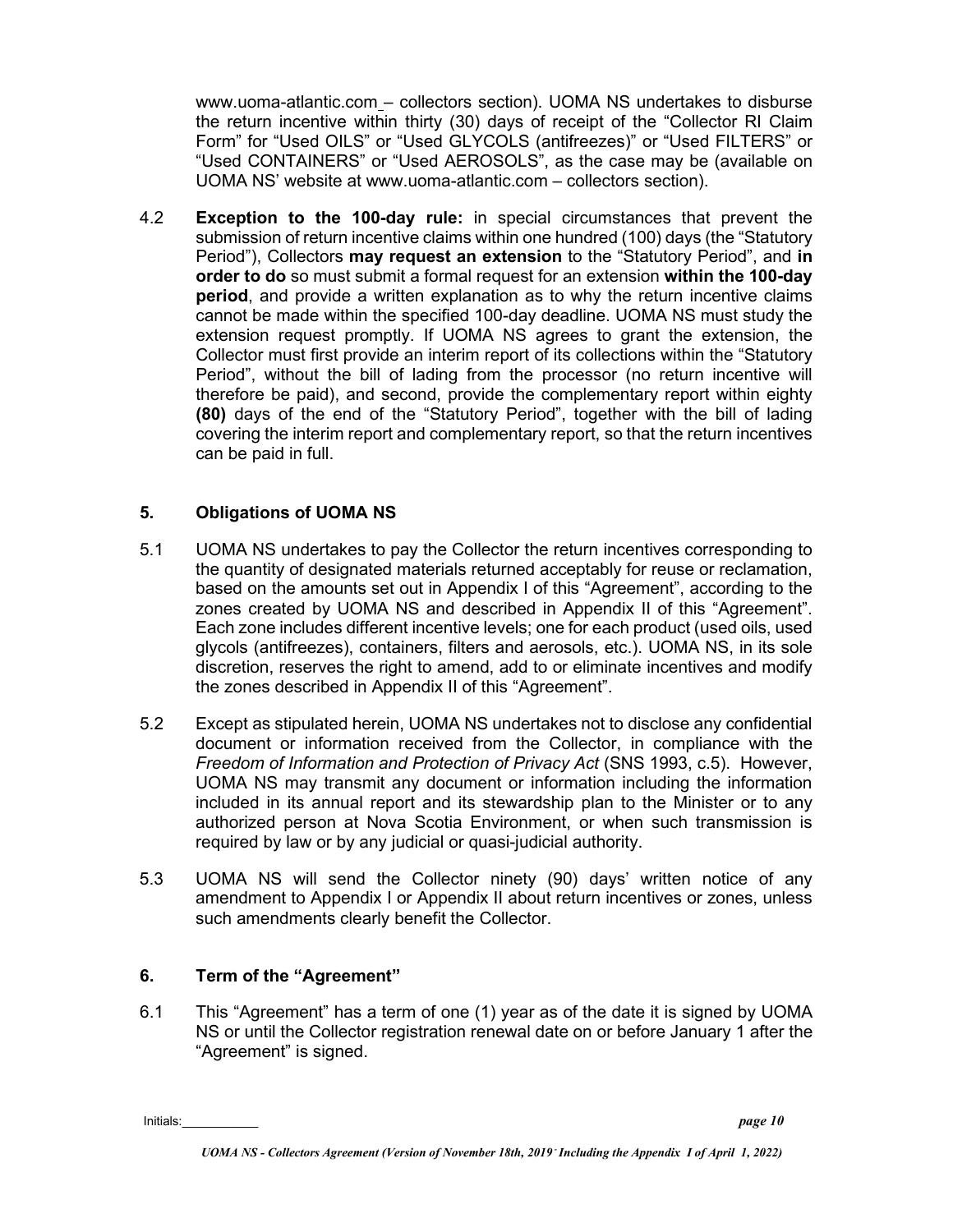www.uoma-atlantic.com – collectors section). UOMA NS undertakes to disburse the return incentive within thirty (30) days of receipt of the "Collector RI Claim Form" for "Used OILS" or "Used GLYCOLS (antifreezes)" or "Used FILTERS" or "Used CONTAINERS" or "Used AEROSOLS", as the case may be (available on UOMA NS' website at www.uoma-atlantic.com – collectors section).

4.2 **Exception to the 100-day rule:** in special circumstances that prevent the submission of return incentive claims within one hundred (100) days (the "Statutory Period"), Collectors **may request an extension** to the "Statutory Period", and **in order to do** so must submit a formal request for an extension **within the 100-day period**, and provide a written explanation as to why the return incentive claims cannot be made within the specified 100-day deadline. UOMA NS must study the extension request promptly. If UOMA NS agrees to grant the extension, the Collector must first provide an interim report of its collections within the "Statutory Period", without the bill of lading from the processor (no return incentive will therefore be paid), and second, provide the complementary report within eighty **(80)** days of the end of the "Statutory Period", together with the bill of lading covering the interim report and complementary report, so that the return incentives can be paid in full.

#### **5. Obligations of UOMA NS**

- 5.1 UOMA NS undertakes to pay the Collector the return incentives corresponding to the quantity of designated materials returned acceptably for reuse or reclamation, based on the amounts set out in Appendix I of this "Agreement", according to the zones created by UOMA NS and described in Appendix II of this "Agreement". Each zone includes different incentive levels; one for each product (used oils, used glycols (antifreezes), containers, filters and aerosols, etc.). UOMA NS, in its sole discretion, reserves the right to amend, add to or eliminate incentives and modify the zones described in Appendix II of this "Agreement".
- 5.2 Except as stipulated herein, UOMA NS undertakes not to disclose any confidential document or information received from the Collector, in compliance with the *Freedom of Information and Protection of Privacy Act* (SNS 1993, c.5). However, UOMA NS may transmit any document or information including the information included in its annual report and its stewardship plan to the Minister or to any authorized person at Nova Scotia Environment, or when such transmission is required by law or by any judicial or quasi-judicial authority.
- 5.3 UOMA NS will send the Collector ninety (90) days' written notice of any amendment to Appendix I or Appendix II about return incentives or zones, unless such amendments clearly benefit the Collector.

#### **6. Term of the "Agreement"**

6.1 This "Agreement" has a term of one (1) year as of the date it is signed by UOMA NS or until the Collector registration renewal date on or before January 1 after the "Agreement" is signed.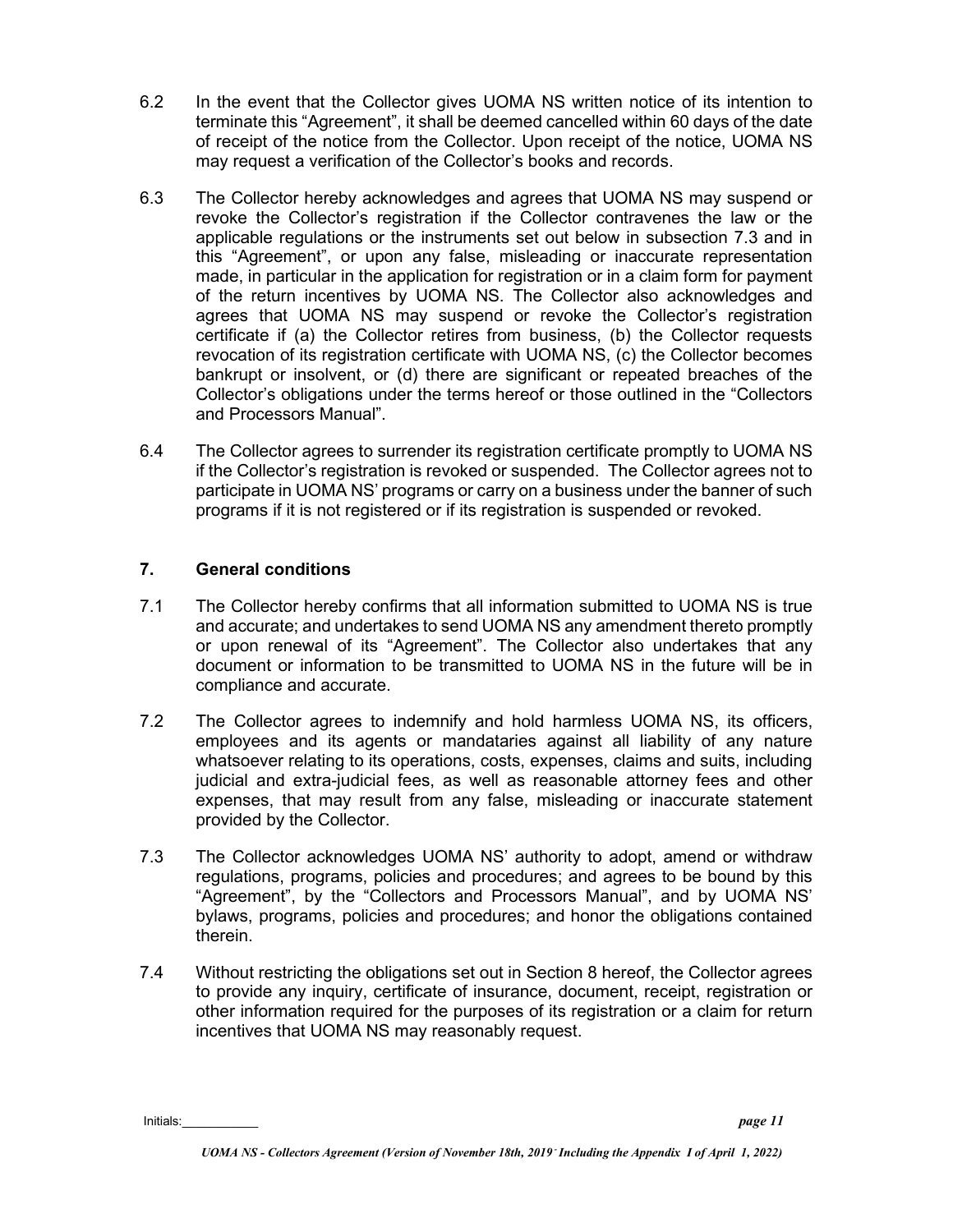- 6.2 In the event that the Collector gives UOMA NS written notice of its intention to terminate this "Agreement", it shall be deemed cancelled within 60 days of the date of receipt of the notice from the Collector. Upon receipt of the notice, UOMA NS may request a verification of the Collector's books and records.
- 6.3 The Collector hereby acknowledges and agrees that UOMA NS may suspend or revoke the Collector's registration if the Collector contravenes the law or the applicable regulations or the instruments set out below in subsection 7.3 and in this "Agreement", or upon any false, misleading or inaccurate representation made, in particular in the application for registration or in a claim form for payment of the return incentives by UOMA NS. The Collector also acknowledges and agrees that UOMA NS may suspend or revoke the Collector's registration certificate if (a) the Collector retires from business, (b) the Collector requests revocation of its registration certificate with UOMA NS, (c) the Collector becomes bankrupt or insolvent, or (d) there are significant or repeated breaches of the Collector's obligations under the terms hereof or those outlined in the "Collectors and Processors Manual".
- 6.4 The Collector agrees to surrender its registration certificate promptly to UOMA NS if the Collector's registration is revoked or suspended. The Collector agrees not to participate in UOMA NS' programs or carry on a business under the banner of such programs if it is not registered or if its registration is suspended or revoked.

#### **7. General conditions**

- 7.1 The Collector hereby confirms that all information submitted to UOMA NS is true and accurate; and undertakes to send UOMA NS any amendment thereto promptly or upon renewal of its "Agreement". The Collector also undertakes that any document or information to be transmitted to UOMA NS in the future will be in compliance and accurate.
- 7.2 The Collector agrees to indemnify and hold harmless UOMA NS, its officers, employees and its agents or mandataries against all liability of any nature whatsoever relating to its operations, costs, expenses, claims and suits, including judicial and extra-judicial fees, as well as reasonable attorney fees and other expenses, that may result from any false, misleading or inaccurate statement provided by the Collector.
- 7.3 The Collector acknowledges UOMA NS' authority to adopt, amend or withdraw regulations, programs, policies and procedures; and agrees to be bound by this "Agreement", by the "Collectors and Processors Manual", and by UOMA NS' bylaws, programs, policies and procedures; and honor the obligations contained therein.
- 7.4 Without restricting the obligations set out in Section 8 hereof, the Collector agrees to provide any inquiry, certificate of insurance, document, receipt, registration or other information required for the purposes of its registration or a claim for return incentives that UOMA NS may reasonably request.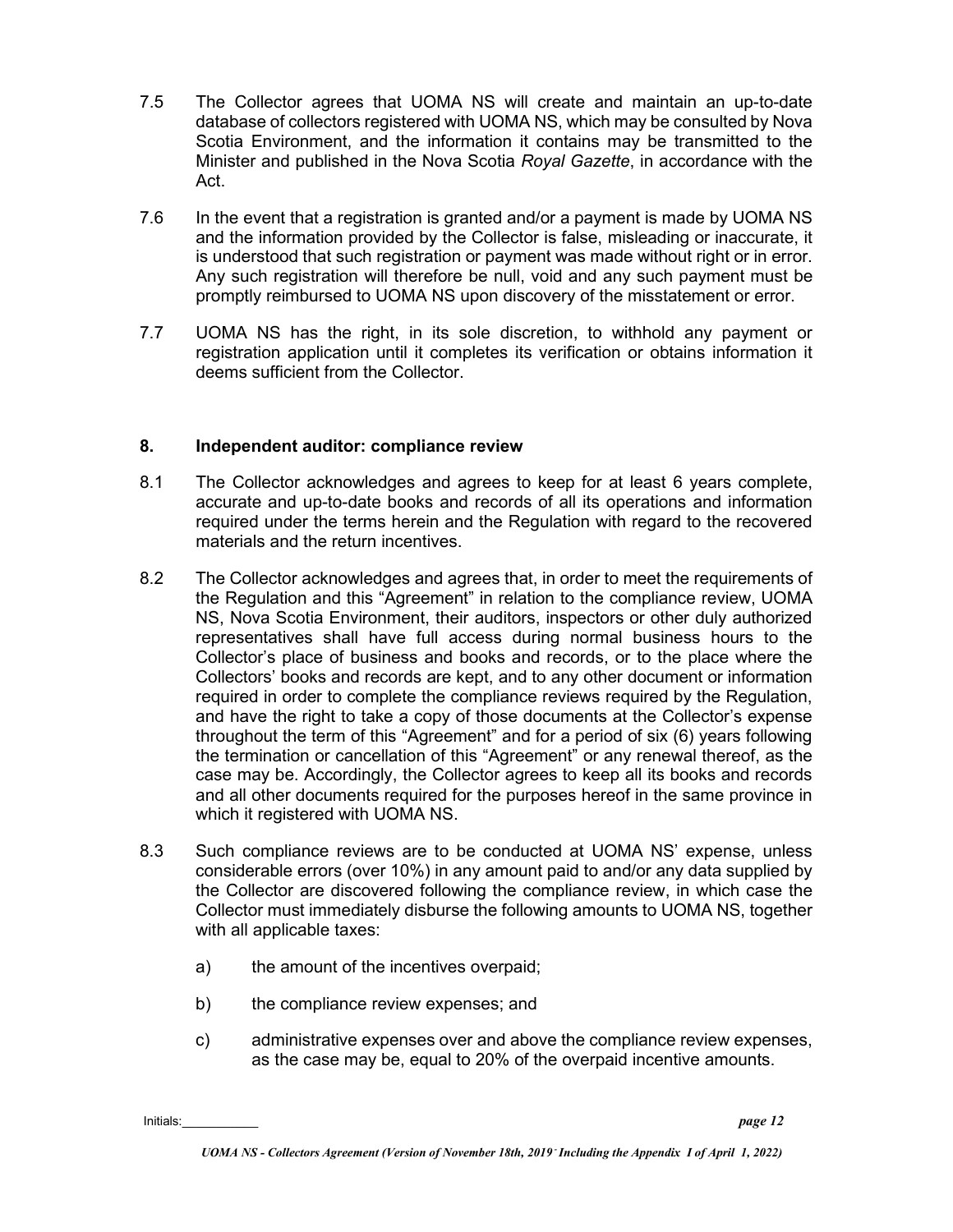- 7.5 The Collector agrees that UOMA NS will create and maintain an up-to-date database of collectors registered with UOMA NS, which may be consulted by Nova Scotia Environment, and the information it contains may be transmitted to the Minister and published in the Nova Scotia *Royal Gazette*, in accordance with the Act.
- 7.6 In the event that a registration is granted and/or a payment is made by UOMA NS and the information provided by the Collector is false, misleading or inaccurate, it is understood that such registration or payment was made without right or in error. Any such registration will therefore be null, void and any such payment must be promptly reimbursed to UOMA NS upon discovery of the misstatement or error.
- 7.7 UOMA NS has the right, in its sole discretion, to withhold any payment or registration application until it completes its verification or obtains information it deems sufficient from the Collector.

#### **8. Independent auditor: compliance review**

- 8.1 The Collector acknowledges and agrees to keep for at least 6 years complete, accurate and up-to-date books and records of all its operations and information required under the terms herein and the Regulation with regard to the recovered materials and the return incentives.
- 8.2 The Collector acknowledges and agrees that, in order to meet the requirements of the Regulation and this "Agreement" in relation to the compliance review, UOMA NS, Nova Scotia Environment, their auditors, inspectors or other duly authorized representatives shall have full access during normal business hours to the Collector's place of business and books and records, or to the place where the Collectors' books and records are kept, and to any other document or information required in order to complete the compliance reviews required by the Regulation, and have the right to take a copy of those documents at the Collector's expense throughout the term of this "Agreement" and for a period of six (6) years following the termination or cancellation of this "Agreement" or any renewal thereof, as the case may be. Accordingly, the Collector agrees to keep all its books and records and all other documents required for the purposes hereof in the same province in which it registered with UOMA NS.
- 8.3 Such compliance reviews are to be conducted at UOMA NS' expense, unless considerable errors (over 10%) in any amount paid to and/or any data supplied by the Collector are discovered following the compliance review, in which case the Collector must immediately disburse the following amounts to UOMA NS, together with all applicable taxes:
	- a) the amount of the incentives overpaid;
	- b) the compliance review expenses; and
	- c) administrative expenses over and above the compliance review expenses, as the case may be, equal to 20% of the overpaid incentive amounts.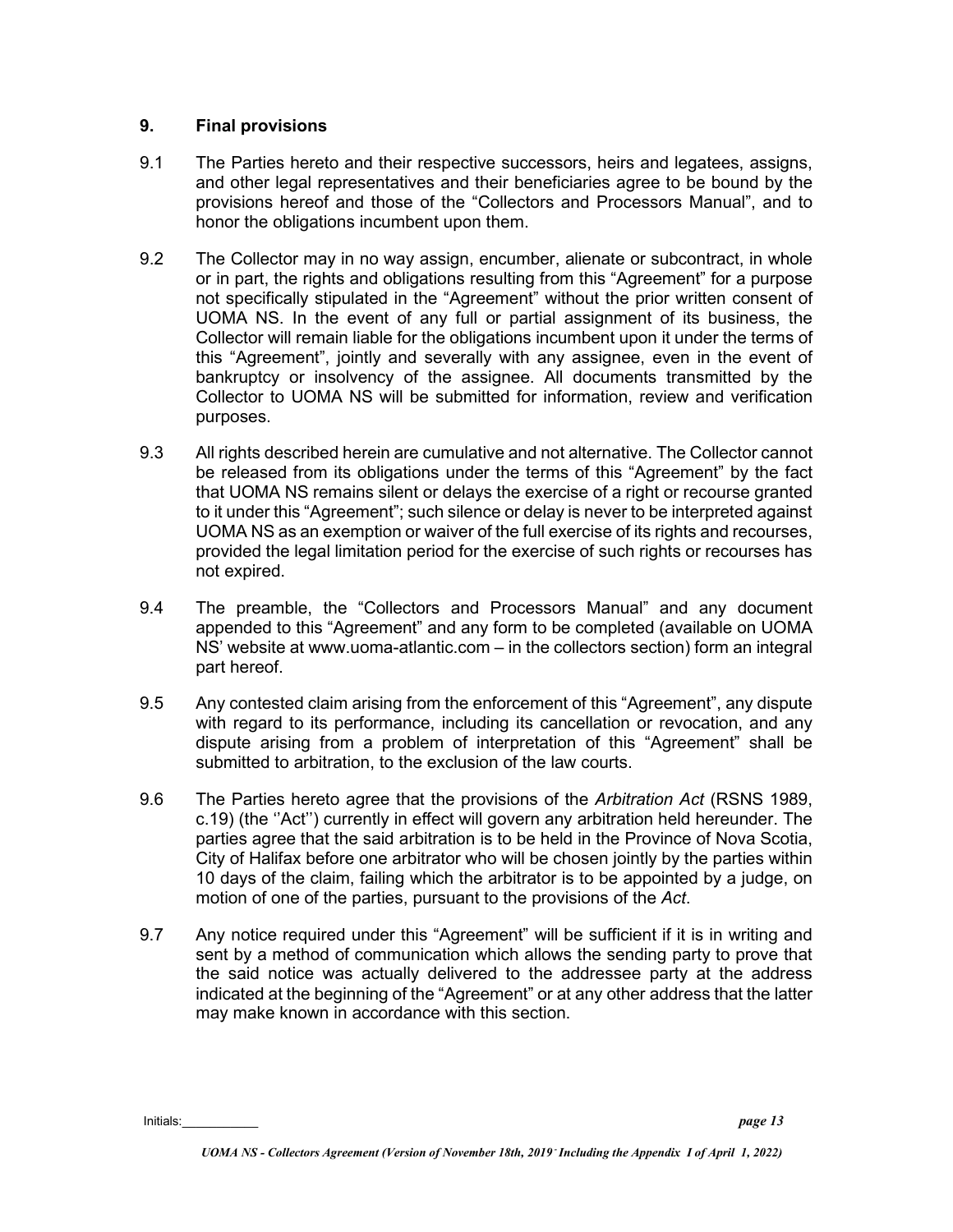#### **9. Final provisions**

- 9.1 The Parties hereto and their respective successors, heirs and legatees, assigns, and other legal representatives and their beneficiaries agree to be bound by the provisions hereof and those of the "Collectors and Processors Manual", and to honor the obligations incumbent upon them.
- 9.2 The Collector may in no way assign, encumber, alienate or subcontract, in whole or in part, the rights and obligations resulting from this "Agreement" for a purpose not specifically stipulated in the "Agreement" without the prior written consent of UOMA NS. In the event of any full or partial assignment of its business, the Collector will remain liable for the obligations incumbent upon it under the terms of this "Agreement", jointly and severally with any assignee, even in the event of bankruptcy or insolvency of the assignee. All documents transmitted by the Collector to UOMA NS will be submitted for information, review and verification purposes.
- 9.3 All rights described herein are cumulative and not alternative. The Collector cannot be released from its obligations under the terms of this "Agreement" by the fact that UOMA NS remains silent or delays the exercise of a right or recourse granted to it under this "Agreement"; such silence or delay is never to be interpreted against UOMA NS as an exemption or waiver of the full exercise of its rights and recourses, provided the legal limitation period for the exercise of such rights or recourses has not expired.
- 9.4 The preamble, the "Collectors and Processors Manual" and any document appended to this "Agreement" and any form to be completed (available on UOMA NS' website at www.uoma-atlantic.com – in the collectors section) form an integral part hereof.
- 9.5 Any contested claim arising from the enforcement of this "Agreement", any dispute with regard to its performance, including its cancellation or revocation, and any dispute arising from a problem of interpretation of this "Agreement" shall be submitted to arbitration, to the exclusion of the law courts.
- 9.6 The Parties hereto agree that the provisions of the *Arbitration Act* (RSNS 1989, c.19) (the ''Act'') currently in effect will govern any arbitration held hereunder. The parties agree that the said arbitration is to be held in the Province of Nova Scotia, City of Halifax before one arbitrator who will be chosen jointly by the parties within 10 days of the claim, failing which the arbitrator is to be appointed by a judge, on motion of one of the parties, pursuant to the provisions of the *Act*.
- 9.7 Any notice required under this "Agreement" will be sufficient if it is in writing and sent by a method of communication which allows the sending party to prove that the said notice was actually delivered to the addressee party at the address indicated at the beginning of the "Agreement" or at any other address that the latter may make known in accordance with this section.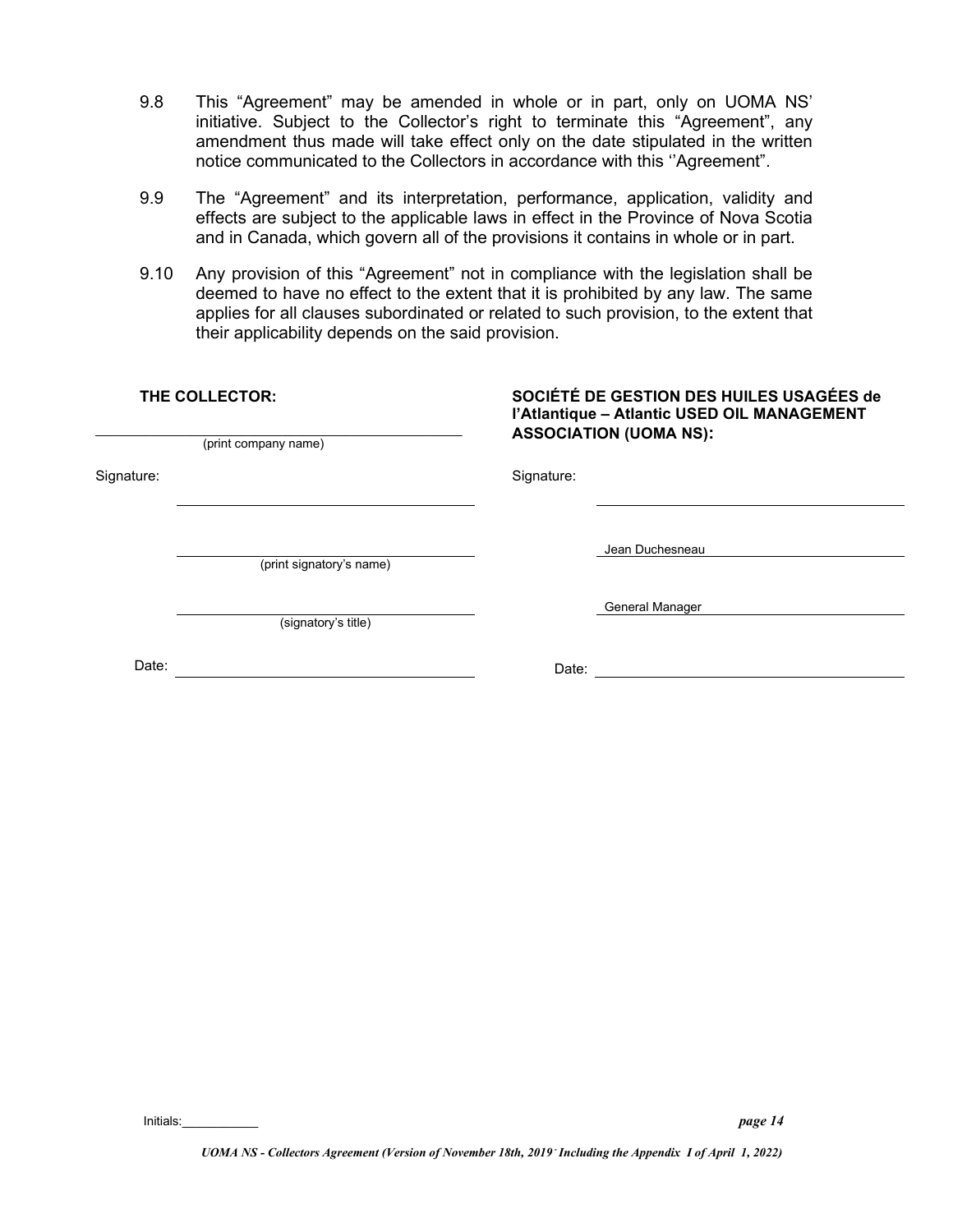- 9.8 This "Agreement" may be amended in whole or in part, only on UOMA NS' initiative. Subject to the Collector's right to terminate this "Agreement", any amendment thus made will take effect only on the date stipulated in the written notice communicated to the Collectors in accordance with this ''Agreement".
- 9.9 The "Agreement" and its interpretation, performance, application, validity and effects are subject to the applicable laws in effect in the Province of Nova Scotia and in Canada, which govern all of the provisions it contains in whole or in part.
- 9.10 Any provision of this "Agreement" not in compliance with the legislation shall be deemed to have no effect to the extent that it is prohibited by any law. The same applies for all clauses subordinated or related to such provision, to the extent that their applicability depends on the said provision.

| THE COLLECTOR:<br>(print company name) |                          |                               | SOCIÉTÉ DE GESTION DES HUILES USAGÉES de<br>l'Atlantique - Atlantic USED OIL MANAGEMENT |  |
|----------------------------------------|--------------------------|-------------------------------|-----------------------------------------------------------------------------------------|--|
|                                        |                          | <b>ASSOCIATION (UOMA NS):</b> |                                                                                         |  |
| Signature:                             |                          | Signature:                    |                                                                                         |  |
|                                        | (print signatory's name) |                               | Jean Duchesneau                                                                         |  |
|                                        | (signatory's title)      |                               | General Manager                                                                         |  |
| Date:                                  |                          | Date:                         |                                                                                         |  |
|                                        |                          |                               |                                                                                         |  |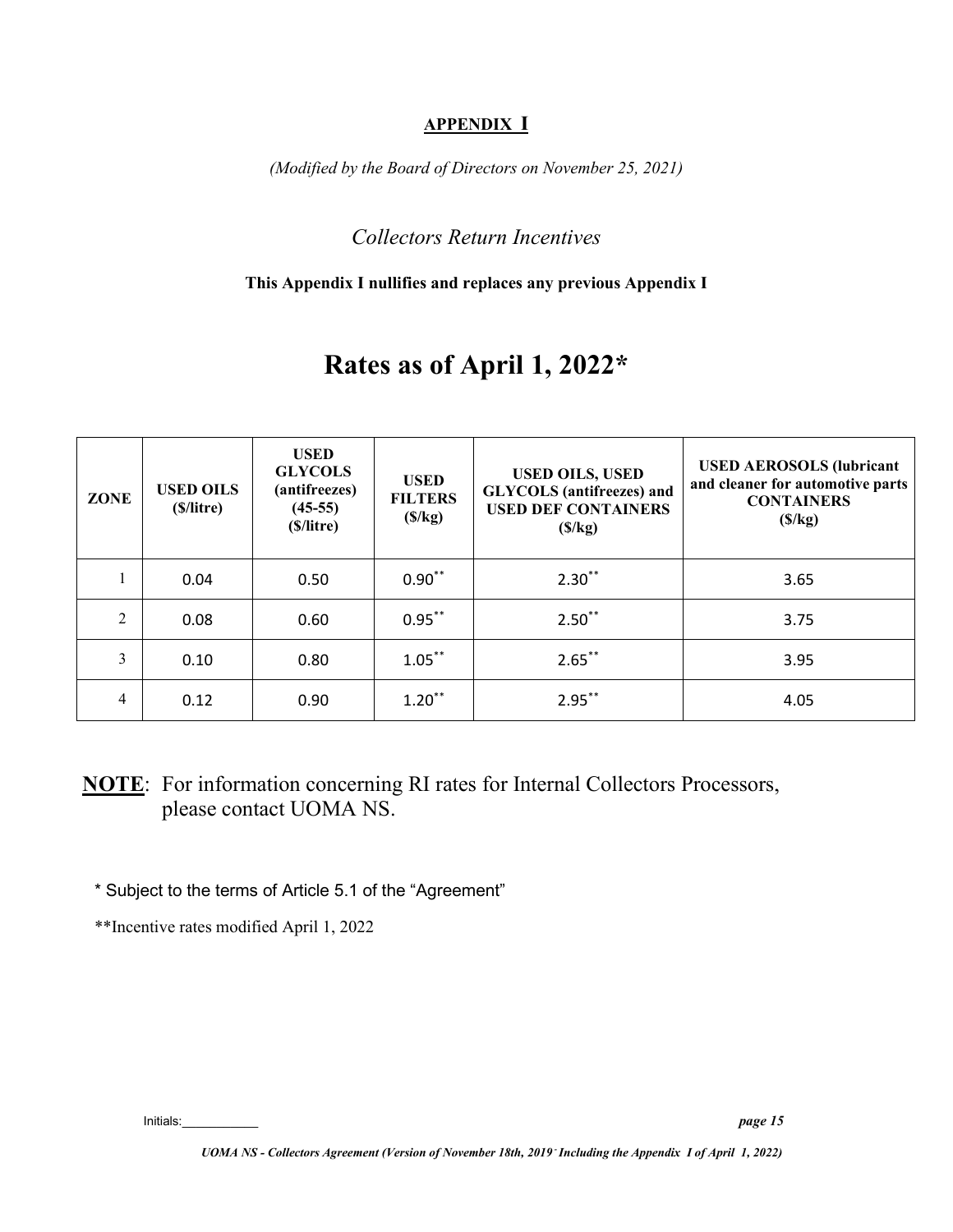#### **APPENDIX I**

*(Modified by the Board of Directors on November 25, 2021)* 

#### *Collectors Return Incentives*

#### **This Appendix I nullifies and replaces any previous Appendix I**

### **Rates as of April 1, 2022\***

| ZONE           | <b>USED OILS</b><br>(S/litre) | <b>USED</b><br><b>GLYCOLS</b><br>(antifreezes)<br>$(45-55)$<br>(\$/litre) | <b>USED</b><br><b>FILTERS</b><br>(S/kg) | <b>USED OILS, USED</b><br><b>GLYCOLS</b> (antifreezes) and<br><b>USED DEF CONTAINERS</b><br>(S/kg) | <b>USED AEROSOLS (lubricant</b><br>and cleaner for automotive parts<br><b>CONTAINERS</b><br>(S/kg) |
|----------------|-------------------------------|---------------------------------------------------------------------------|-----------------------------------------|----------------------------------------------------------------------------------------------------|----------------------------------------------------------------------------------------------------|
|                | 0.04                          | 0.50                                                                      | $0.90**$                                | $2.30***$                                                                                          | 3.65                                                                                               |
| $\overline{2}$ | 0.08                          | 0.60                                                                      | $0.95***$                               | $2.50**$                                                                                           | 3.75                                                                                               |
| 3              | 0.10                          | 0.80                                                                      | $1.05***$                               | $2.65***$                                                                                          | 3.95                                                                                               |
| 4              | 0.12                          | 0.90                                                                      | $1.20***$                               | $2.95***$                                                                                          | 4.05                                                                                               |

**NOTE**: For information concerning RI rates for Internal Collectors Processors, please contact UOMA NS.

\* Subject to the terms of Article 5.1 of the "Agreement"

\*\*Incentive rates modified April 1, 2022